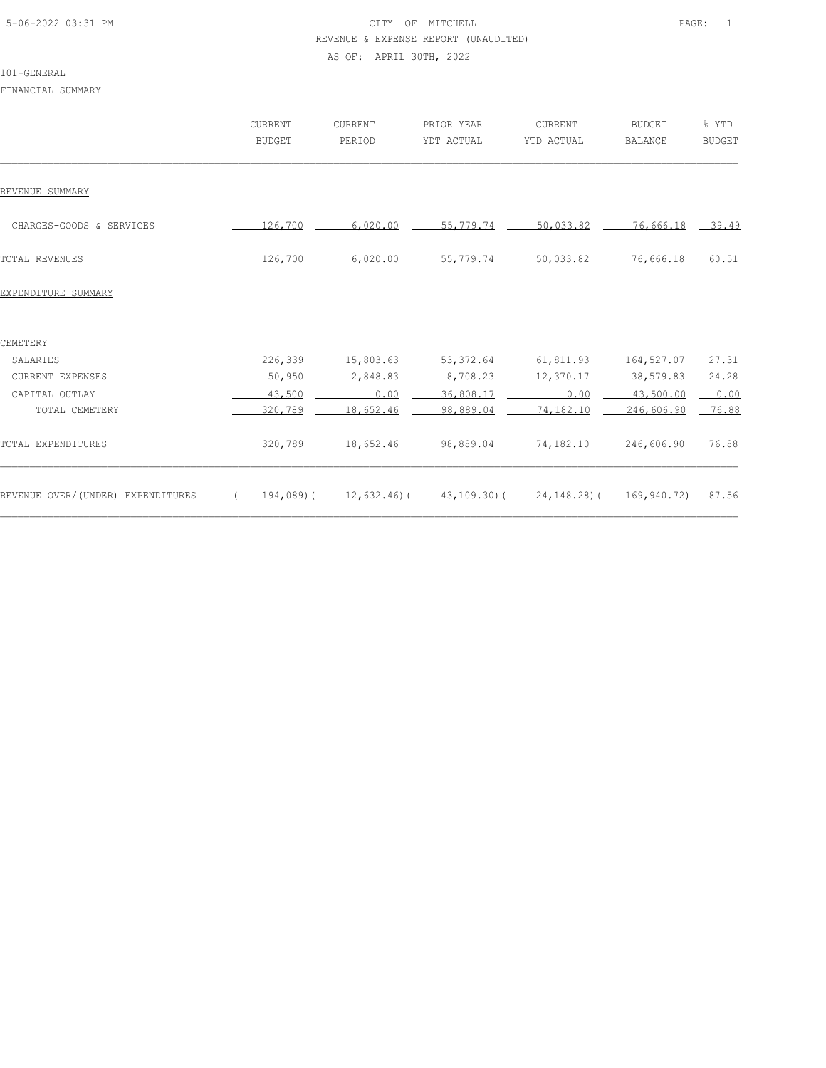# 5-06-2022 03:31 PM PAGE: 1 REVENUE & EXPENSE REPORT (UNAUDITED) AS OF: APRIL 30TH, 2022

#### 101-GENERAL

FINANCIAL SUMMARY

|                                   | CURRENT<br><b>BUDGET</b>    | CURRENT<br>PERIOD | PRIOR YEAR<br>YDT ACTUAL | CURRENT<br>YTD ACTUAL | <b>BUDGET</b><br><b>BALANCE</b> | % YTD<br><b>BUDGET</b> |
|-----------------------------------|-----------------------------|-------------------|--------------------------|-----------------------|---------------------------------|------------------------|
| REVENUE SUMMARY                   |                             |                   |                          |                       |                                 |                        |
| CHARGES-GOODS & SERVICES          | 126,700                     | 6,020.00          | 55,779.74                | 50,033.82             | 76,666.18 39.49                 |                        |
| <b>TOTAL REVENUES</b>             | 126,700                     | 6,020.00          | 55,779.74                | 50,033.82             | 76,666.18                       | 60.51                  |
| EXPENDITURE SUMMARY               |                             |                   |                          |                       |                                 |                        |
| CEMETERY                          |                             |                   |                          |                       |                                 |                        |
| SALARIES                          | 226,339                     | 15,803.63         | 53, 372.64               | 61,811.93             | 164,527.07                      | 27.31                  |
| CURRENT EXPENSES                  | 50,950                      | 2,848.83          | 8,708.23                 | 12,370.17             | 38,579.83                       | 24.28                  |
| CAPITAL OUTLAY                    | 43,500                      | 0.00              | 36,808.17                | 0.00                  | 43,500.00                       | 0.00                   |
| TOTAL CEMETERY                    | 320,789                     | 18,652.46         | 98,889.04                | 74,182.10             | 246,606.90                      | 76.88                  |
| TOTAL EXPENDITURES                | 320,789                     | 18,652.46         | 98,889.04                | 74,182.10             | 246,606.90                      | 76.88                  |
| REVENUE OVER/(UNDER) EXPENDITURES | 194,089)(<br>$\overline{a}$ | 12,632.46)(       | 43,109.30)(              | 24,148.28)(           | 169,940.72)                     | 87.56                  |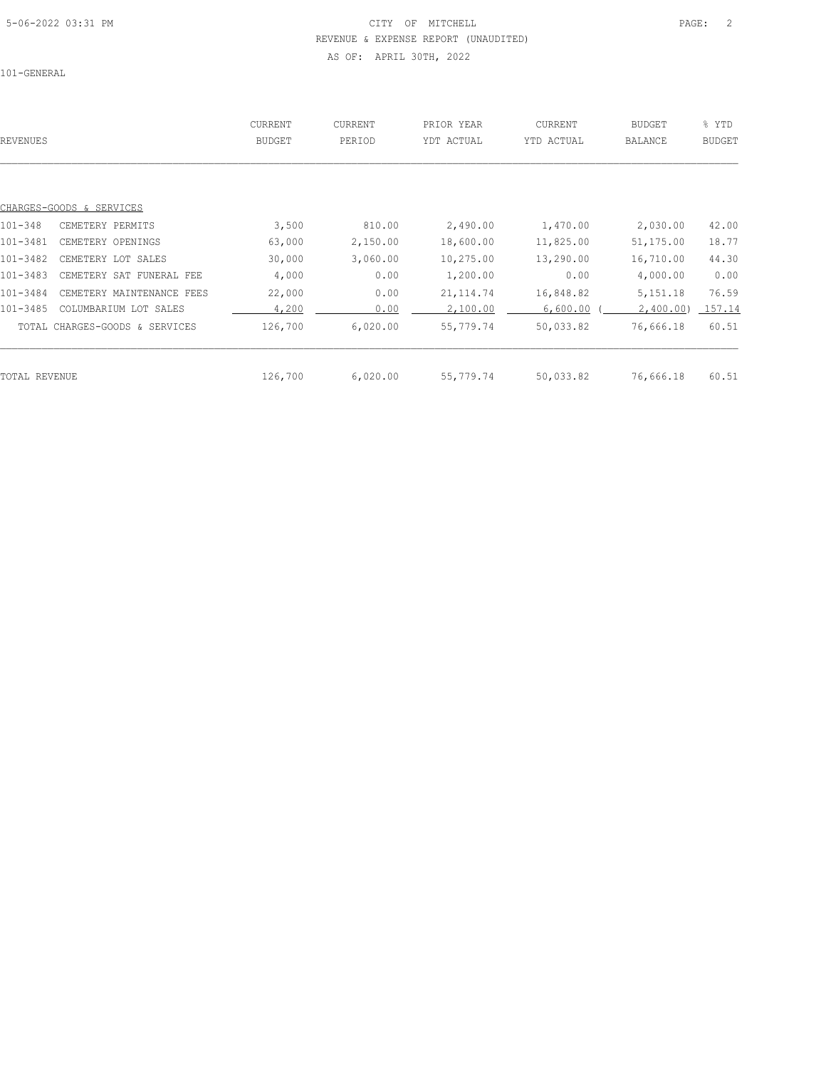## 5-06-2022 03:31 PM PAGE: 2 REVENUE & EXPENSE REPORT (UNAUDITED) AS OF: APRIL 30TH, 2022

101-GENERAL

| REVENUES      |                                | CURRENT<br><b>BUDGET</b> | CURRENT<br>PERIOD | PRIOR YEAR<br>YDT ACTUAL | CURRENT<br>YTD ACTUAL | BUDGET<br><b>BALANCE</b> | % YTD<br><b>BUDGET</b> |
|---------------|--------------------------------|--------------------------|-------------------|--------------------------|-----------------------|--------------------------|------------------------|
|               | CHARGES-GOODS & SERVICES       |                          |                   |                          |                       |                          |                        |
| $101 - 348$   | CEMETERY PERMITS               | 3,500                    | 810.00            | 2,490.00                 | 1,470.00              | 2,030.00                 | 42.00                  |
| 101-3481      | CEMETERY OPENINGS              | 63,000                   | 2,150.00          | 18,600.00                | 11,825.00             | 51,175.00                | 18.77                  |
| 101-3482      | CEMETERY LOT SALES             | 30,000                   | 3,060.00          | 10,275.00                | 13,290.00             | 16,710.00                | 44.30                  |
| 101-3483      | CEMETERY SAT FUNERAL FEE       | 4,000                    | 0.00              | 1,200.00                 | 0.00                  | 4,000.00                 | 0.00                   |
| 101-3484      | CEMETERY MAINTENANCE FEES      | 22,000                   | 0.00              | 21, 114.74               | 16,848.82             | 5, 151. 18               | 76.59                  |
| 101-3485      | COLUMBARIUM LOT SALES          | 4,200                    | 0.00              | 2,100.00                 | 6,600.00              | 2,400.00)                | 157.14                 |
|               | TOTAL CHARGES-GOODS & SERVICES | 126,700                  | 6,020.00          | 55,779.74                | 50,033.82             | 76,666.18                | 60.51                  |
|               |                                |                          |                   |                          |                       |                          |                        |
| TOTAL REVENUE |                                | 126,700                  | 6,020.00          | 55,779.74                | 50,033.82             | 76,666.18                | 60.51                  |